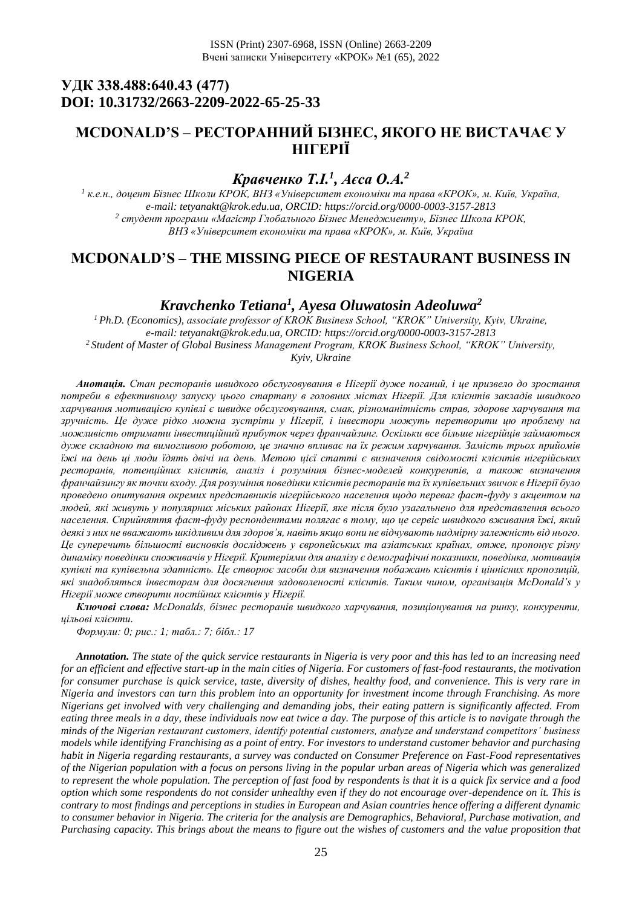# **УДК 338.488:640.43 (477) DOI: 10.31732/2663-2209-2022-65-25-33**

# **MCDONALD'S – РЕСТОРАННИЙ БІЗНЕС, ЯКОГО НЕ ВИСТАЧАЄ У НІГЕРІЇ**

# *Кравченко Т.І.<sup>1</sup> , Аєса О.А.<sup>2</sup>*

*<sup>1</sup> к.е.н., доцент Бізнес Школи КРОК, ВНЗ «Університет економіки та права «КРОК», м. Київ, Україна, e-mail: tetyanakt@krok.edu.ua, ORCID:<https://orcid.org/0000-0003-3157-2813> 2 студент програми «Магістр Глобального Бізнес Менеджменту», Бізнес Школа КРОК, ВНЗ «Університет економіки та права «КРОК», м. Київ, Україна*

### **MCDONALD'S – THE MISSING PIECE OF RESTAURANT BUSINESS IN NIGERIA**

# *Kravchenko Tetiana<sup>1</sup> , Ayesa Oluwatosin Adeoluwa<sup>2</sup>*

*<sup>1</sup>Ph.D. (Economics), аssociate рrofessor of KROK Business School, "KROK" University, Kyiv, Ukraine, e-mail: tetyanakt@krok.edu.ua, ORCID:<https://orcid.org/0000-0003-3157-2813> <sup>2</sup>Student of Master of Global Business Management Program, KROK Business School, "KROK" University, Kyiv, Ukraine*

*Анотація. Стан ресторанів швидкого обслуговування в Нігерії дуже поганий, і це призвело до зростання потреби в ефективному запуску цього стартапу в головних містах Нігерії. Для клієнтів закладів швидкого харчування мотивацією купівлі є швидке обслуговування, смак, різноманітність страв, здорове харчування та зручність. Це дуже рідко можна зустріти у Нігерії, і інвестори можуть перетворити цю проблему на можливість отримати інвестиційний прибуток через франчайзинг. Оскільки все більше нігерійців займаються дуже складною та вимогливою роботою, це значно впливає на їх режим харчування. Замість трьох прийомів їжі на день ці люди їдять двічі на день. Метою цієї статті є визначення свідомості клієнтів нігерійських ресторанів, потенційних клієнтів, аналіз і розуміння бізнес-моделей конкурентів, а також визначення франчайзингу як точки входу. Для розуміння поведінки клієнтів ресторанів та їх купівельних звичок в Нігерії було проведено опитування окремих представників нігерійського населення щодо переваг фаст-фуду з акцентом на людей, які живуть у популярних міських районах Нігерії, яке після було узагальнено для представлення всього населення. Сприйняття фаст-фуду респондентами полягає в тому, що це сервіс швидкого вживання їжі, який деякі з них не вважають шкідливим для здоров'я, навіть якщо вони не відчувають надмірну залежність від нього. Це суперечить більшості висновків досліджень у європейських та азіатських країнах, отже, пропонує різну динаміку поведінки споживачів у Нігерії. Критеріями для аналізу є демографічні показники, поведінка, мотивація купівлі та купівельна здатність. Це створює засоби для визначення побажань клієнтів і ціннісних пропозицій, які знадобляться інвесторам для досягнення задоволеності клієнтів. Таким чином, організація McDonald's у Нігерії може створити постійних клієнтів у Нігерії.*

*Ключові слова: McDonalds, бізнес ресторанів швидкого харчування, позиціонування на ринку, конкуренти, цільові клієнти.*

*Формули: 0; рис.: 1; табл.: 7; бібл.: 17*

*Annotation. The state of the quick service restaurants in Nigeria is very poor and this has led to an increasing need for an efficient and effective start-up in the main cities of Nigeria. For customers of fast-food restaurants, the motivation for consumer purchase is quick service, taste, diversity of dishes, healthy food, and convenience. This is very rare in Nigeria and investors can turn this problem into an opportunity for investment income through Franchising. As more Nigerians get involved with very challenging and demanding jobs, their eating pattern is significantly affected. From eating three meals in a day, these individuals now eat twice a day. The purpose of this article is to navigate through the minds of the Nigerian restaurant customers, identify potential customers, analyze and understand competitors' business models while identifying Franchising as a point of entry. For investors to understand customer behavior and purchasing habit in Nigeria regarding restaurants, a survey was conducted on Consumer Preference on Fast-Food representatives of the Nigerian population with a focus on persons living in the popular urban areas of Nigeria which was generalized to represent the whole population. The perception of fast food by respondents is that it is a quick fix service and a food option which some respondents do not consider unhealthy even if they do not encourage over-dependence on it. This is contrary to most findings and perceptions in studies in European and Asian countries hence offering a different dynamic to consumer behavior in Nigeria. The criteria for the analysis are Demographics, Behavioral, Purchase motivation, and Purchasing capacity. This brings about the means to figure out the wishes of customers and the value proposition that*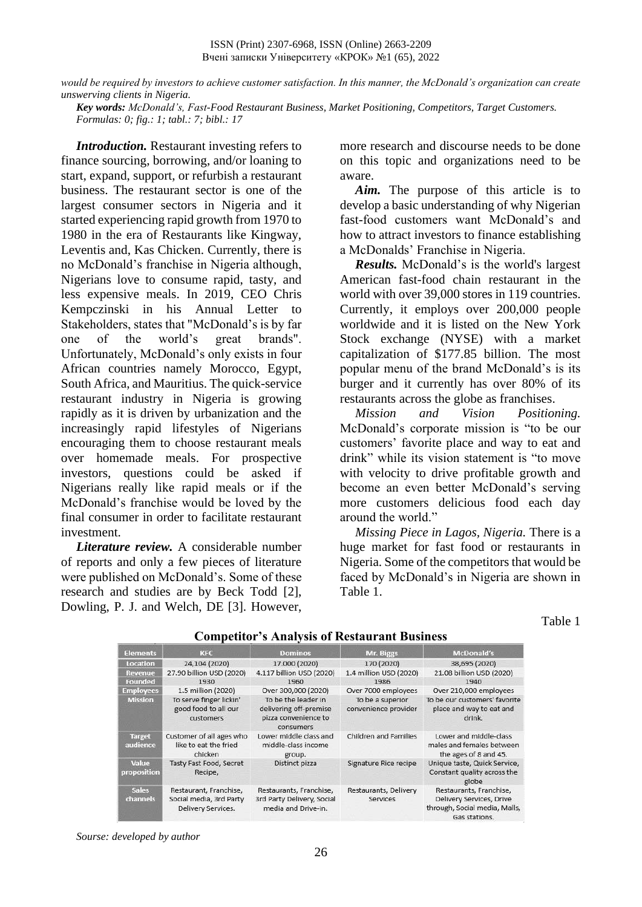ISSN (Print) 2307-6968, ISSN (Online) 2663-2209 Вчені записки Університету «КРОК» №1 (65), 2022

*would be required by investors to achieve customer satisfaction. In this manner, the McDonald's organization can create unswerving clients in Nigeria.* 

*Key words: McDonald's, Fast-Food Restaurant Business, Market Positioning, Competitors, Target Customers. Formulas: 0; fig.: 1; tabl.: 7; bibl.: 17*

*Introduction.* Restaurant investing refers to finance sourcing, borrowing, and/or loaning to start, expand, support, or refurbish a restaurant business. The restaurant sector is one of the largest consumer sectors in Nigeria and it started experiencing rapid growth from 1970 to 1980 in the era of Restaurants like Kingway, Leventis and, Kas Chicken. Currently, there is no McDonald's franchise in Nigeria although, Nigerians love to consume rapid, tasty, and less expensive meals. In 2019, CEO Chris Kempczinski in his Annual Letter to Stakeholders, states that "McDonald's is by far one of the world's great brands". Unfortunately, McDonald's only exists in four African countries namely Morocco, Egypt, South Africa, and Mauritius. The quick-service restaurant industry in Nigeria is growing rapidly as it is driven by urbanization and the increasingly rapid lifestyles of Nigerians encouraging them to choose restaurant meals over homemade meals. For prospective investors, questions could be asked if Nigerians really like rapid meals or if the McDonald's franchise would be loved by the final consumer in order to facilitate restaurant investment.

*Literature review.* A considerable number of reports and only a few pieces of literature were published on McDonald's. Some of these research and studies are by Beck Todd [2], Dowling, P. J. and Welch, DE [3]. However, more research and discourse needs to be done on this topic and organizations need to be aware.

*Aim.* The purpose of this article is to develop a basic understanding of why Nigerian fast-food customers want McDonald's and how to attract investors to finance establishing a McDonalds' Franchise in Nigeria.

*Results.* McDonald's is the world's largest American fast-food chain restaurant in the world with over 39,000 stores in 119 countries. Currently, it employs over 200,000 people worldwide and it is listed on the New York Stock exchange (NYSE) with a market capitalization of \$177.85 billion. The most popular menu of the brand McDonald's is its burger and it currently has over 80% of its restaurants across the globe as franchises.

*Mission and Vision Positioning.* McDonald's corporate mission is "to be our customers' favorite place and way to eat and drink" while its vision statement is "to move with velocity to drive profitable growth and become an even better McDonald's serving more customers delicious food each day around the world."

*Missing Piece in Lagos, Nigeria.* There is a huge market for fast food or restaurants in Nigeria. Some of the competitors that would be faced by McDonald's in Nigeria are shown in Table 1.

Table 1

| <b>Elements</b>                 | KFC                                                                     | <b>Dominos</b>                                                                     | Mr. Biggs                                | <b>McDonald's</b>                                                                                     |
|---------------------------------|-------------------------------------------------------------------------|------------------------------------------------------------------------------------|------------------------------------------|-------------------------------------------------------------------------------------------------------|
| <b>Location</b>                 | 24,104 (2020)                                                           | 17.000 (2020)                                                                      | 170 (2020)                               | 38,695 (2020)                                                                                         |
| Revenue                         | 27.90 billion USD (2020)                                                | 4.117 billion USD (2020)                                                           | 1.4 million USD (2020)                   | 21.08 billion USD (2020)                                                                              |
| <b>Founded</b>                  | 1930                                                                    | 1960                                                                               | 1986                                     | 1940                                                                                                  |
| <b>Employees</b>                | 1.5 million (2020)                                                      | Over 300,000 (2020)                                                                | Over 7000 employees                      | Over 210,000 employees                                                                                |
| <b>Mission</b>                  | To serve finger lickin'<br>good food to all our<br>customers            | To be the leader in<br>delivering off-premise<br>pizza convenience to<br>consumers | To be a superior<br>convenience provider | To be our customers' favorite<br>place and way to eat and<br>drink.                                   |
| <b>Target</b><br>audience       | Customer of all ages who<br>like to eat the fried<br>chicken            | Lower middle class and<br>middle-class income<br>group.                            | Children and Families                    | Lower and middle-class<br>males and females between<br>the ages of 8 and 45.                          |
| Value<br>proposition            | Tasty Fast Food, Secret<br>Recipe,                                      | Distinct pizza                                                                     | Signature Rice recipe                    | Unique taste, Quick Service,<br>Constant quality across the<br>globe                                  |
| <b>Sales</b><br><b>channels</b> | Restaurant, Franchise,<br>Social media, 3rd Party<br>Delivery Services. | Restaurants, Franchise,<br>3rd Party Delivery, Social<br>media and Drive-in.       | Restaurants, Delivery<br>Services        | Restaurants, Franchise,<br>Delivery Services, Drive<br>through, Social media, Malls,<br>Gas stations. |

### **Competitor's Analysis of Restaurant Business**

*Sourse: developed by author*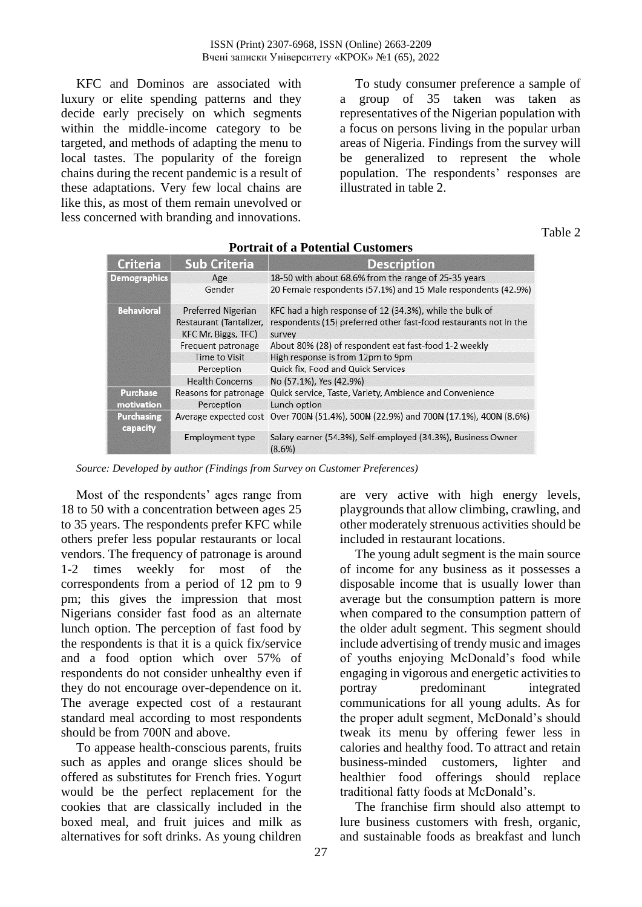KFC and Dominos are associated with luxury or elite spending patterns and they decide early precisely on which segments within the middle-income category to be targeted, and methods of adapting the menu to local tastes. The popularity of the foreign chains during the recent pandemic is a result of these adaptations. Very few local chains are like this, as most of them remain unevolved or less concerned with branding and innovations.

To study consumer preference a sample of a group of 35 taken was taken as representatives of the Nigerian population with a focus on persons living in the popular urban areas of Nigeria. Findings from the survey will be generalized to represent the whole population. The respondents' responses are illustrated in table 2.

Table 2

| Criteria                      | <b>Sub Criteria</b>                            | <b>Description</b>                                                                      |
|-------------------------------|------------------------------------------------|-----------------------------------------------------------------------------------------|
| <b>Demographics</b>           | Age                                            | 18-50 with about 68.6% from the range of 25-35 years                                    |
|                               | Gender                                         | 20 Female respondents (57.1%) and 15 Male respondents (42.9%)                           |
| <b>Behavioral</b>             | <b>Preferred Nigerian</b>                      | KFC had a high response of 12 (34.3%), while the bulk of                                |
|                               | Restaurant (Tantalizer,<br>KFC Mr. Biggs, TFC) | respondents (15) preferred other fast-food restaurants not in the<br>survey             |
|                               | Frequent patronage                             | About 80% (28) of respondent eat fast-food 1-2 weekly                                   |
|                               | Time to Visit                                  | High response is from 12pm to 9pm                                                       |
|                               | Perception                                     | Quick fix, Food and Quick Services                                                      |
|                               | <b>Health Concerns</b>                         | No (57.1%), Yes (42.9%)                                                                 |
| <b>Purchase</b>               | Reasons for patronage                          | Quick service, Taste, Variety, Ambience and Convenience                                 |
| motivation                    | Perception                                     | Lunch option                                                                            |
| <b>Purchasing</b><br>capacity |                                                | Average expected cost Over 70044 (51.4%), 50044 (22.9%) and 70044 (17.1%), 40044 (8.6%) |
|                               | <b>Employment type</b>                         | Salary earner (54.3%), Self-employed (34.3%), Business Owner<br>(8.6%)                  |

### **Portrait of a Potential Customers**

*Source: Developed by author (Findings from Survey on Customer Preferences)* 

Most of the respondents' ages range from 18 to 50 with a concentration between ages 25 to 35 years. The respondents prefer KFC while others prefer less popular restaurants or local vendors. The frequency of patronage is around 1-2 times weekly for most of the correspondents from a period of 12 pm to 9 pm; this gives the impression that most Nigerians consider fast food as an alternate lunch option. The perception of fast food by the respondents is that it is a quick fix/service and a food option which over 57% of respondents do not consider unhealthy even if they do not encourage over-dependence on it. The average expected cost of a restaurant standard meal according to most respondents should be from 700N and above.

To appease health-conscious parents, fruits such as apples and orange slices should be offered as substitutes for French fries. Yogurt would be the perfect replacement for the cookies that are classically included in the boxed meal, and fruit juices and milk as alternatives for soft drinks. As young children

are very active with high energy levels, playgrounds that allow climbing, crawling, and other moderately strenuous activities should be included in restaurant locations.

The young adult segment is the main source of income for any business as it possesses a disposable income that is usually lower than average but the consumption pattern is more when compared to the consumption pattern of the older adult segment. This segment should include advertising of trendy music and images of youths enjoying McDonald's food while engaging in vigorous and energetic activities to portray predominant integrated communications for all young adults. As for the proper adult segment, McDonald's should tweak its menu by offering fewer less in calories and healthy food. To attract and retain business-minded customers, lighter and healthier food offerings should replace traditional fatty foods at McDonald's.

The franchise firm should also attempt to lure business customers with fresh, organic, and sustainable foods as breakfast and lunch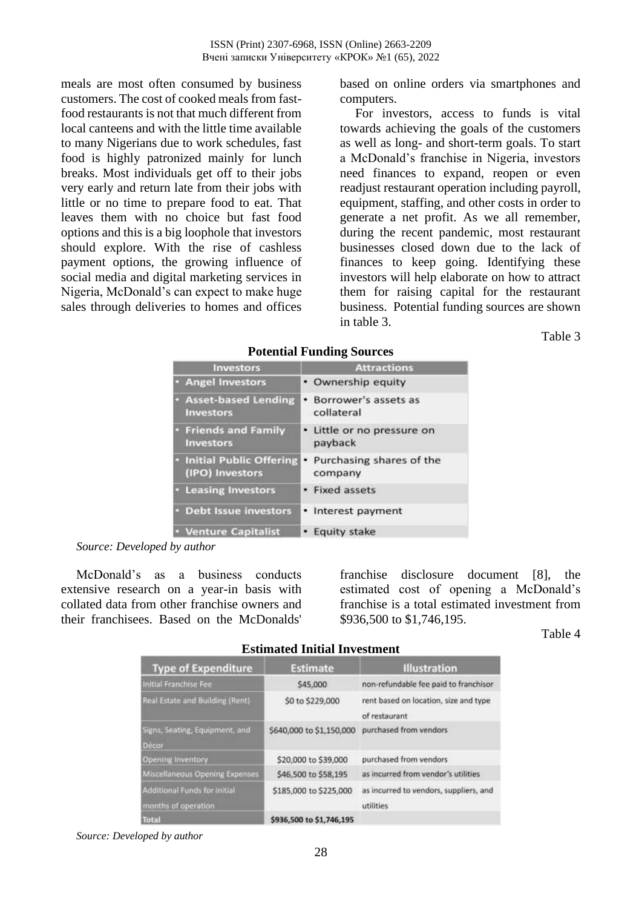meals are most often consumed by business customers. The cost of cooked meals from fastfood restaurants is not that much different from local canteens and with the little time available to many Nigerians due to work schedules, fast food is highly patronized mainly for lunch breaks. Most individuals get off to their jobs very early and return late from their jobs with little or no time to prepare food to eat. That leaves them with no choice but fast food options and this is a big loophole that investors should explore. With the rise of cashless payment options, the growing influence of social media and digital marketing services in Nigeria, McDonald's can expect to make huge sales through deliveries to homes and offices based on online orders via smartphones and computers.

For investors, access to funds is vital towards achieving the goals of the customers as well as long- and short-term goals. To start a McDonald's franchise in Nigeria, investors need finances to expand, reopen or even readjust restaurant operation including payroll, equipment, staffing, and other costs in order to generate a net profit. As we all remember, during the recent pandemic, most restaurant businesses closed down due to the lack of finances to keep going. Identifying these investors will help elaborate on how to attract them for raising capital for the restaurant business. Potential funding sources are shown in table 3.

Table 3

| <b>Investors</b>                                  | <b>Attractions</b>                       |
|---------------------------------------------------|------------------------------------------|
| · Angel Investors                                 | • Ownership equity                       |
| <b>Asset-based Lending</b><br><b>Investors</b>    | • Borrower's assets as<br>collateral     |
| <b>Friends and Family</b><br><b>Investors</b>     | Little or no pressure on<br>payback      |
| <b>Initial Public Offering</b><br>(IPO) Investors | Purchasing shares of the<br>٠<br>company |
| <b>Leasing Investors</b>                          | • Fixed assets                           |
| <b>Debt Issue investors</b>                       | • Interest payment                       |
| <b>Venture Capitalist</b>                         | • Equity stake                           |

#### **Potential Funding Sources**

*Source: Developed by author*

McDonald's as a business conducts extensive research on a year-in basis with collated data from other franchise owners and their franchisees. Based on the McDonalds'

franchise disclosure document [8], the estimated cost of opening a McDonald's franchise is a total estimated investment from \$936,500 to \$1,746,195.

Table 4

| <b>Estimated Initial Investment</b>                 |                          |                                                        |
|-----------------------------------------------------|--------------------------|--------------------------------------------------------|
| <b>Type of Expenditure</b>                          | <b>Estimate</b>          | <b>Illustration</b>                                    |
| Initial Franchise Fee                               | \$45,000                 | non-refundable fee paid to franchisor                  |
| Real Estate and Building (Rent)                     | \$0 to \$229,000         | rent based on location, size and type<br>of restaurant |
| Signs, Seating, Equipment, and<br>Décor             | S640,000 to \$1,150,000  | purchased from vendors                                 |
| <b>Opening Inventory</b>                            | \$20,000 to \$39,000     | purchased from vendors                                 |
| Miscellaneous Opening Expenses                      | \$46,500 to \$58,195     | as incurred from vendor's utilities                    |
| Additional Funds for initial<br>months of operation | \$185,000 to \$225,000   | as incurred to vendors, suppliers, and<br>utilities    |
| <b>Total</b>                                        | \$936,500 to \$1,746,195 |                                                        |

*Source: Developed by author*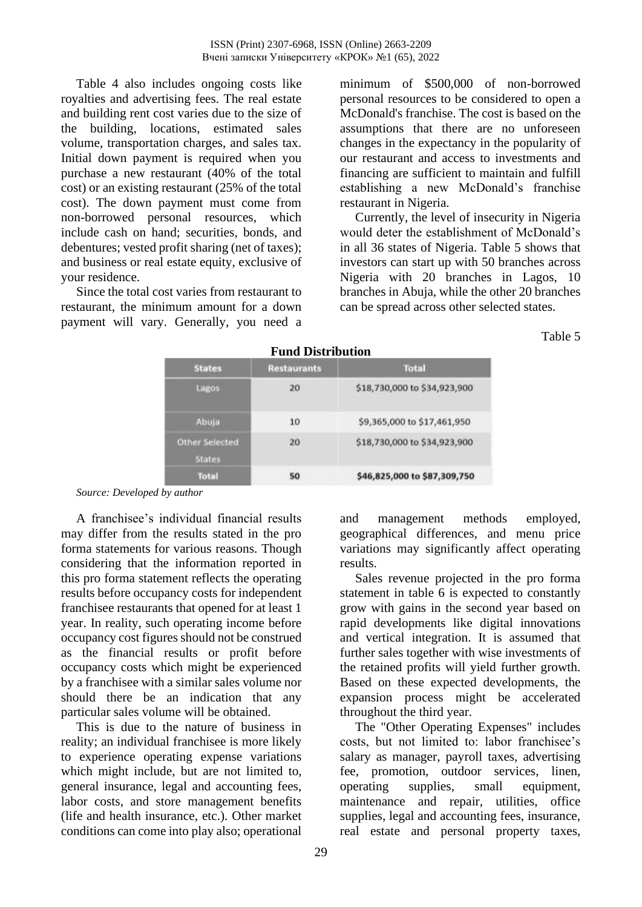Table 4 also includes ongoing costs like royalties and advertising fees. The real estate and building rent cost varies due to the size of the building, locations, estimated sales volume, transportation charges, and sales tax. Initial down payment is required when you purchase a new restaurant (40% of the total cost) or an existing restaurant (25% of the total cost). The down payment must come from non-borrowed personal resources, which include cash on hand; securities, bonds, and debentures; vested profit sharing (net of taxes); and business or real estate equity, exclusive of your residence.

Since the total cost varies from restaurant to restaurant, the minimum amount for a down payment will vary. Generally, you need a minimum of \$500,000 of non-borrowed personal resources to be considered to open a McDonald's franchise. The cost is based on the assumptions that there are no unforeseen changes in the expectancy in the popularity of our restaurant and access to investments and financing are sufficient to maintain and fulfill establishing a new McDonald's franchise restaurant in Nigeria.

Currently, the level of insecurity in Nigeria would deter the establishment of McDonald's in all 36 states of Nigeria. Table 5 shows that investors can start up with 50 branches across Nigeria with 20 branches in Lagos, 10 branches in Abuja, while the other 20 branches can be spread across other selected states.

Table 5

| r unu izistrittutiva                   |                    |                              |
|----------------------------------------|--------------------|------------------------------|
| <b>States</b>                          | <b>Restaurants</b> | <b>Total</b>                 |
| Lagos                                  | 20                 | \$18,730,000 to \$34,923,900 |
| Abuja                                  | 10                 | \$9,365,000 to \$17,461,950  |
| <b>Other Selected</b><br><b>States</b> | 20                 | \$18,730,000 to \$34,923,900 |
| <b>Total</b>                           | 50                 | \$46,825,000 to \$87,309,750 |

### **Fund Distribution**

*Source: Developed by author*

A franchisee's individual financial results may differ from the results stated in the pro forma statements for various reasons. Though considering that the information reported in this pro forma statement reflects the operating results before occupancy costs for independent franchisee restaurants that opened for at least 1 year. In reality, such operating income before occupancy cost figures should not be construed as the financial results or profit before occupancy costs which might be experienced by a franchisee with a similar sales volume nor should there be an indication that any particular sales volume will be obtained.

This is due to the nature of business in reality; an individual franchisee is more likely to experience operating expense variations which might include, but are not limited to, general insurance, legal and accounting fees, labor costs, and store management benefits (life and health insurance, etc.). Other market conditions can come into play also; operational

and management methods employed, geographical differences, and menu price variations may significantly affect operating results.

Sales revenue projected in the pro forma statement in table 6 is expected to constantly grow with gains in the second year based on rapid developments like digital innovations and vertical integration. It is assumed that further sales together with wise investments of the retained profits will yield further growth. Based on these expected developments, the expansion process might be accelerated throughout the third year.

The "Other Operating Expenses" includes costs, but not limited to: labor franchisee's salary as manager, payroll taxes, advertising fee, promotion, outdoor services, linen, operating supplies, small equipment, maintenance and repair, utilities, office supplies, legal and accounting fees, insurance, real estate and personal property taxes,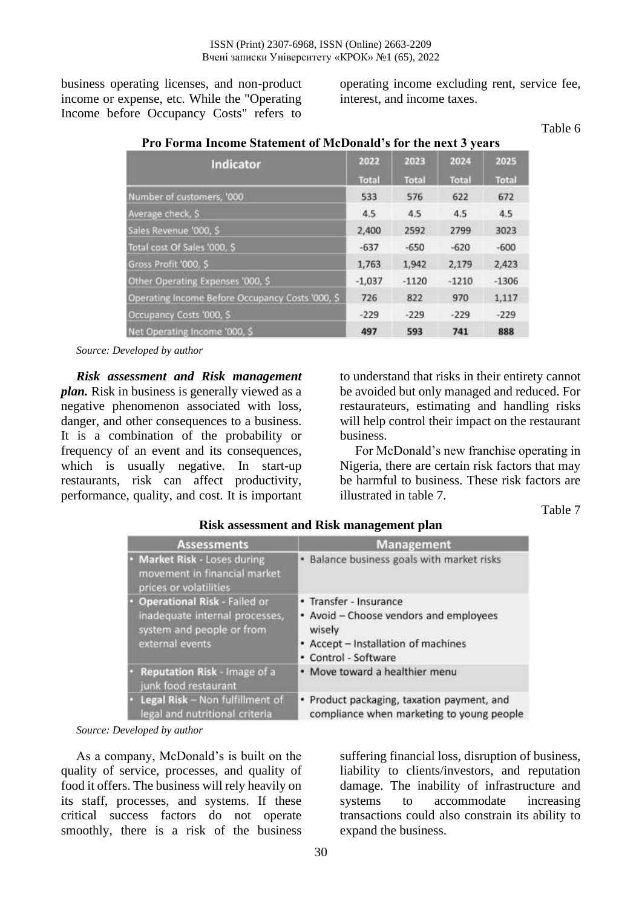**Pro Forma Income Statement of McDonald's for the next 3 years**

business operating licenses, and non-product income or expense, etc. While the "Operating Income before Occupancy Costs" refers to operating income excluding rent, service fee, interest, and income taxes.

#### Table 6

| Indicator                                        | 2022         | 2023    | 2024         | 2025         |
|--------------------------------------------------|--------------|---------|--------------|--------------|
|                                                  | <b>Total</b> | Total   | <b>Total</b> | <b>Total</b> |
| Number of customers, '000                        | 533          | 576     | 622          | 672          |
| Average check, \$                                | 4.5          | 4.5     | 4.5          | 4.5          |
| Sales Revenue '000, S                            | 2,400        | 2592    | 2799         | 3023         |
| Total cost Of Sales '000, \$                     | $-637$       | $-650$  | $-620$       | $-600$       |
| Gross Profit '000, \$                            | 1,763        | 1,942   | 2,179        | 2,423        |
| Other Operating Expenses '000, \$                | $-1,037$     | $-1120$ | $-1210$      | $-1306$      |
| Operating Income Before Occupancy Costs '000, \$ | 726          | 822     | 970          | 1,117        |
| Occupancy Costs '000, \$                         | $-229$       | $-229$  | $-229$       | $-229$       |
| Net Operating Income '000, \$                    | 497          | 593     | 741          | 888          |

*Source: Developed by author* 

*Risk assessment and Risk management plan.* Risk in business is generally viewed as a negative phenomenon associated with loss, danger, and other consequences to a business. It is a combination of the probability or frequency of an event and its consequences, which is usually negative. In start-up restaurants, risk can affect productivity, performance, quality, and cost. It is important to understand that risks in their entirety cannot be avoided but only managed and reduced. For restaurateurs, estimating and handling risks will help control their impact on the restaurant business.

For McDonald's new franchise operating in Nigeria, there are certain risk factors that may be harmful to business. These risk factors are illustrated in table 7.

Table 7

| <b>Assessments</b>                                                                                                    | <b>Management</b>                                                                                                                         |
|-----------------------------------------------------------------------------------------------------------------------|-------------------------------------------------------------------------------------------------------------------------------------------|
| Market Risk - Loses during<br>movement in financial market<br>prices or volatilities                                  | · Balance business goals with market risks                                                                                                |
| <b>Operational Risk - Failed or</b><br>inadequate internal processes,<br>system and people or from<br>external events | • Transfer - Insurance<br>• Avoid - Choose vendors and employees<br>wisely<br>• Accept - Installation of machines<br>• Control - Software |
| Reputation Risk - Image of a<br>junk food restaurant                                                                  | . Move toward a healthier menu                                                                                                            |
| Legal Risk - Non fulfillment of<br>legal and nutritional criteria                                                     | • Product packaging, taxation payment, and<br>compliance when marketing to young people                                                   |

### **Risk assessment and Risk management plan**

*Source: Developed by author* 

As a company, McDonald's is built on the quality of service, processes, and quality of food it offers. The business will rely heavily on its staff, processes, and systems. If these critical success factors do not operate smoothly, there is a risk of the business

suffering financial loss, disruption of business, liability to clients/investors, and reputation damage. The inability of infrastructure and systems to accommodate increasing transactions could also constrain its ability to expand the business.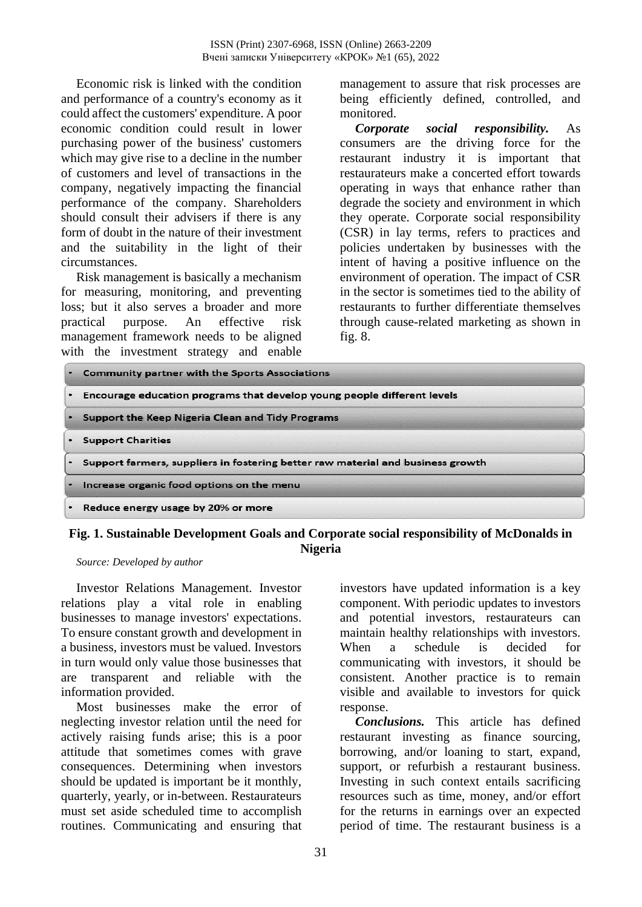Economic risk is linked with the condition and performance of a country's economy as it could affect the customers' expenditure. A poor economic condition could result in lower purchasing power of the business' customers which may give rise to a decline in the number of customers and level of transactions in the company, negatively impacting the financial performance of the company. Shareholders should consult their advisers if there is any form of doubt in the nature of their investment and the suitability in the light of their circumstances.

Risk management is basically a mechanism for measuring, monitoring, and preventing loss; but it also serves a broader and more practical purpose. An effective risk management framework needs to be aligned with the investment strategy and enable management to assure that risk processes are being efficiently defined, controlled, and monitored.

*Corporate social responsibility.* As consumers are the driving force for the restaurant industry it is important that restaurateurs make a concerted effort towards operating in ways that enhance rather than degrade the society and environment in which they operate. Corporate social responsibility (CSR) in lay terms, refers to practices and policies undertaken by businesses with the intent of having a positive influence on the environment of operation. The impact of CSR in the sector is sometimes tied to the ability of restaurants to further differentiate themselves through cause-related marketing as shown in fig. 8.

| <b>Community partner with the Sports Associations</b>                           |
|---------------------------------------------------------------------------------|
| . Encourage education programs that develop young people different levels       |
| <b>Support the Keep Nigeria Clean and Tidy Programs</b>                         |
| <b>Support Charities</b>                                                        |
| Support farmers, suppliers in fostering better raw material and business growth |
| Increase organic food options on the menu                                       |
| Reduce energy usage by 20% or more                                              |

### **Fig. 1. Sustainable Development Goals and Corporate social responsibility of McDonalds in Nigeria**

*Source: Developed by author* 

Investor Relations Management. Investor relations play a vital role in enabling businesses to manage investors' expectations. To ensure constant growth and development in a business, investors must be valued. Investors in turn would only value those businesses that are transparent and reliable with the information provided.

Most businesses make the error of neglecting investor relation until the need for actively raising funds arise; this is a poor attitude that sometimes comes with grave consequences. Determining when investors should be updated is important be it monthly, quarterly, yearly, or in-between. Restaurateurs must set aside scheduled time to accomplish routines. Communicating and ensuring that

investors have updated information is a key component. With periodic updates to investors and potential investors, restaurateurs can maintain healthy relationships with investors. When a schedule is decided for communicating with investors, it should be consistent. Another practice is to remain visible and available to investors for quick response.

*Conclusions.* This article has defined restaurant investing as finance sourcing, borrowing, and/or loaning to start, expand, support, or refurbish a restaurant business. Investing in such context entails sacrificing resources such as time, money, and/or effort for the returns in earnings over an expected period of time. The restaurant business is a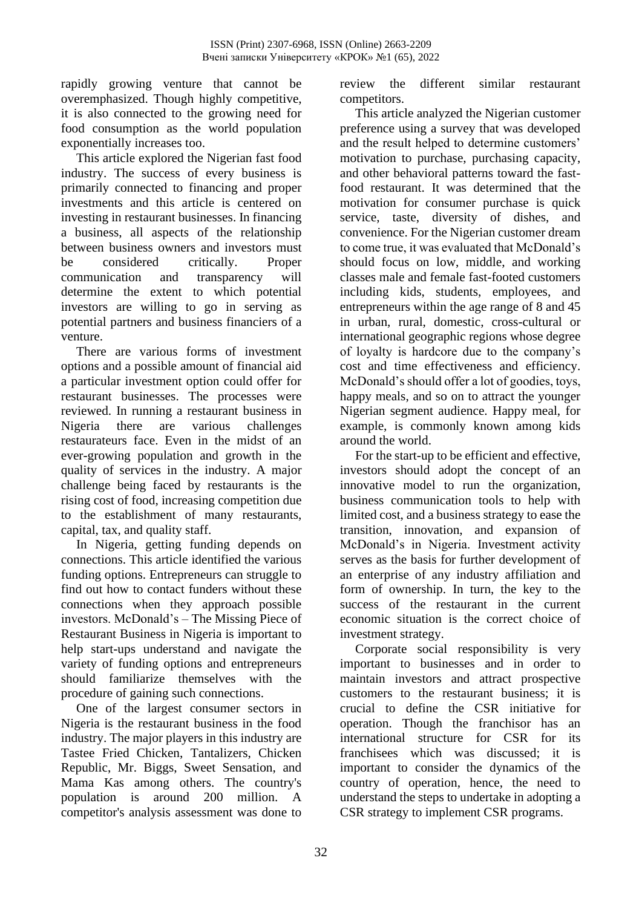rapidly growing venture that cannot be overemphasized. Though highly competitive, it is also connected to the growing need for food consumption as the world population exponentially increases too.

This article explored the Nigerian fast food industry. The success of every business is primarily connected to financing and proper investments and this article is centered on investing in restaurant businesses. In financing a business, all aspects of the relationship between business owners and investors must be considered critically. Proper communication and transparency will determine the extent to which potential investors are willing to go in serving as potential partners and business financiers of a venture.

There are various forms of investment options and a possible amount of financial aid a particular investment option could offer for restaurant businesses. The processes were reviewed. In running a restaurant business in Nigeria there are various challenges restaurateurs face. Even in the midst of an ever-growing population and growth in the quality of services in the industry. A major challenge being faced by restaurants is the rising cost of food, increasing competition due to the establishment of many restaurants, capital, tax, and quality staff.

In Nigeria, getting funding depends on connections. This article identified the various funding options. Entrepreneurs can struggle to find out how to contact funders without these connections when they approach possible investors. McDonald's – The Missing Piece of Restaurant Business in Nigeria is important to help start-ups understand and navigate the variety of funding options and entrepreneurs should familiarize themselves with the procedure of gaining such connections.

One of the largest consumer sectors in Nigeria is the restaurant business in the food industry. The major players in this industry are Tastee Fried Chicken, Tantalizers, Chicken Republic, Mr. Biggs, Sweet Sensation, and Mama Kas among others. The country's population is around 200 million. A competitor's analysis assessment was done to

review the different similar restaurant competitors.

This article analyzed the Nigerian customer preference using a survey that was developed and the result helped to determine customers' motivation to purchase, purchasing capacity, and other behavioral patterns toward the fastfood restaurant. It was determined that the motivation for consumer purchase is quick service, taste, diversity of dishes, and convenience. For the Nigerian customer dream to come true, it was evaluated that McDonald's should focus on low, middle, and working classes male and female fast-footed customers including kids, students, employees, and entrepreneurs within the age range of 8 and 45 in urban, rural, domestic, cross-cultural or international geographic regions whose degree of loyalty is hardcore due to the company's cost and time effectiveness and efficiency. McDonald's should offer a lot of goodies, toys, happy meals, and so on to attract the younger Nigerian segment audience. Happy meal, for example, is commonly known among kids around the world.

For the start-up to be efficient and effective, investors should adopt the concept of an innovative model to run the organization, business communication tools to help with limited cost, and a business strategy to ease the transition, innovation, and expansion of McDonald's in Nigeria. Investment activity serves as the basis for further development of an enterprise of any industry affiliation and form of ownership. In turn, the key to the success of the restaurant in the current economic situation is the correct choice of investment strategy.

Corporate social responsibility is very important to businesses and in order to maintain investors and attract prospective customers to the restaurant business; it is crucial to define the CSR initiative for operation. Though the franchisor has an international structure for CSR for its franchisees which was discussed; it is important to consider the dynamics of the country of operation, hence, the need to understand the steps to undertake in adopting a CSR strategy to implement CSR programs.